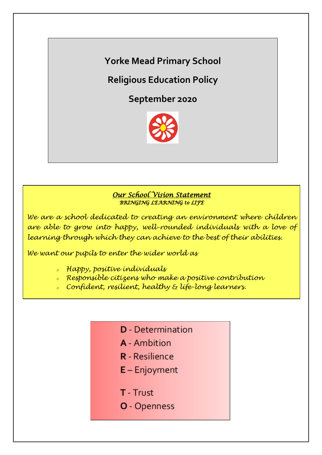**Yorke Mead Primary School**

**Religious Education Policy** 

**September 2020**



## *Our School Vision Statement BRINGING LEARNING to LIFE*

*We are a school dedicated to creating an environment where children are able to grow into happy, well-rounded individuals with a love of learning through which they can achieve to the best of their abilities.*

*We want our pupils to enter the wider world as*

- *<sup>o</sup> Happy, positive individuals*
- *<sup>o</sup> Responsible citizens who make a positive contribution*
- *<sup>o</sup> Confident, resilient, healthy & life-long learners.*
	- **D** Determination
	- **A** Ambition
	- **R** Resilience
	- $E -$  Enjoyment
	- T Trust
	- O Openness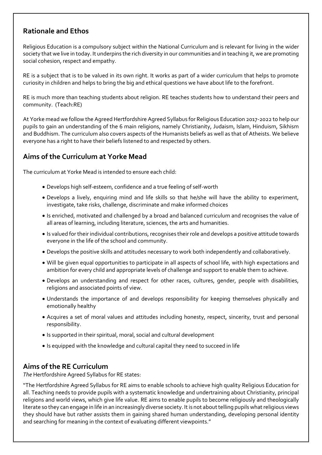# **Rationale and Ethos**

Religious Education is a compulsory subject within the National Curriculum and is relevant for living in the wider society that we live in today. It underpins the rich diversity in our communities and in teaching it, we are promoting social cohesion, respect and empathy.

RE is a subject that is to be valued in its own right. It works as part of a wider curriculum that helps to promote curiosity in children and helps to bring the big and ethical questions we have about life to the forefront.

RE is much more than teaching students about religion. RE teaches students how to understand their peers and community. (Teach:RE)

At Yorke mead we follow the Agreed Hertfordshire Agreed Syllabus for Religious Education 2017-2022 to help our pupils to gain an understanding of the 6 main religions, namely Christianity, Judaism, Islam, Hinduism, Sikhism and Buddhism. The curriculum also covers aspects of the Humanists beliefs as well as that of Atheists. We believe everyone has a right to have their beliefs listened to and respected by others.

# **Aims of the Curriculum at Yorke Mead**

The curriculum at Yorke Mead is intended to ensure each child:

- Develops high self-esteem, confidence and a true feeling of self-worth
- Develops a lively, enquiring mind and life skills so that he/she will have the ability to experiment, investigate, take risks, challenge, discriminate and make informed choices
- Is enriched, motivated and challenged by a broad and balanced curriculum and recognises the value of all areas of learning, including literature, sciences, the arts and humanities.
- Is valued for their individual contributions, recognises their role and develops a positive attitude towards everyone in the life of the school and community.
- Develops the positive skills and attitudes necessary to work both independently and collaboratively.
- Will be given equal opportunities to participate in all aspects of school life, with high expectations and ambition for every child and appropriate levels of challenge and support to enable them to achieve.
- Develops an understanding and respect for other races, cultures, gender, people with disabilities, religions and associated points of view.
- Understands the importance of and develops responsibility for keeping themselves physically and emotionally healthy
- Acquires a set of moral values and attitudes including honesty, respect, sincerity, trust and personal responsibility.
- Is supported in their spiritual, moral, social and cultural development
- Is equipped with the knowledge and cultural capital they need to succeed in life

# **Aims of the RE Curriculum**

*The* Hertfordshire Agreed Syllabus for RE states:

"The Hertfordshire Agreed Syllabus for RE aims to enable schools to achieve high quality Religious Education for all. Teaching needs to provide pupils with a systematic knowledge and undertraining about Christianity, principal religions and world views, which give life value. RE aims to enable pupils to become religiously and theologically literate so they can engage in life in an increasingly diverse society. It is not about telling pupils what religious views they should have but rather assists them in gaining shared human understanding, developing personal identity and searching for meaning in the context of evaluating different viewpoints."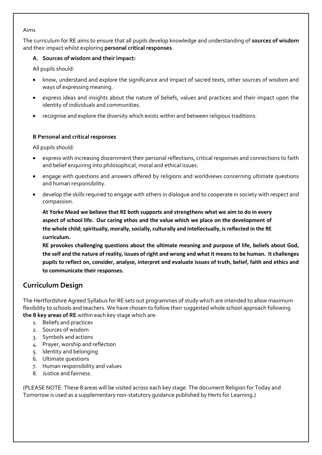#### Aims

The curriculum for RE aims to ensure that all pupils develop knowledge and understanding of **sources of wisdom** and their impact whilst exploring **personal critical responses**.

#### **A. Sources of wisdom and their impact:**

All pupils should:

- know, understand and explore the significance and impact of sacred texts, other sources of wisdom and ways of expressing meaning.
- express ideas and insights about the nature of beliefs, values and practices and their impact upon the identity of individuals and communities.
- recognise and explore the diversity which exists within and between religious traditions.

#### **B Personal and critical responses**

All pupils should:

- express with increasing discernment their personal reflections, critical responses and connections to faith and belief enquiring into philosophical, moral and ethical issues.
- engage with questions and answers offered by religions and worldviews concerning ultimate questions and human responsibility.
- develop the skills required to engage with others in dialogue and to cooperate in society with respect and compassion.

**At Yorke Mead we believe that RE both supports and strengthens what we aim to do in every aspect of school life. Our caring ethos and the value which we place on the development of the whole child; spiritually, morally, socially, culturally and intellectually, is reflected in the RE curriculum.** 

**RE provokes challenging questions about the ultimate meaning and purpose of life, beliefs about God, the self and the nature of reality, issues of right and wrong and what it means to be human. It challenges pupils to reflect on, consider, analyse, interpret and evaluate issues of truth, belief, faith and ethics and to communicate their responses.** 

# **Curriculum Design**

The Hertfordshire Agreed Syllabus for RE sets out programmes of study which are intended to allow maximum flexibility to schools and teachers. We have chosen to follow their suggested whole school approach following **the 8 key areas of RE** within each key stage which are:

- 1. Beliefs and practices
- 2. Sources of wisdom
- 3. Symbols and actions
- 4. Prayer, worship and reflection
- 5. Identity and belonging
- 6. Ultimate questions
- 7. Human responsibility and values
- 8. Justice and fairness.

(PLEASE NOTE: These 8 areas will be visited across each key stage. The document Religion for Today and Tomorrow is used as a supplementary non-statutory guidance published by Herts for Learning.)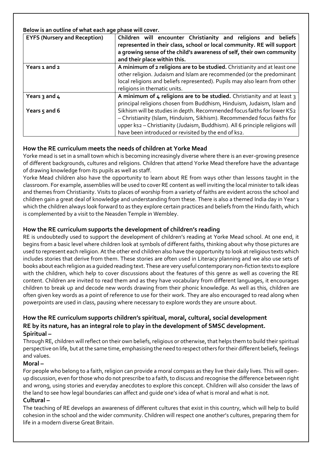**Below is an outline of what each age phase will cover.**

| <b>EYFS (Nursery and Reception)</b> | Children will encounter Christianity and religions and beliefs<br>represented in their class, school or local community. RE will support<br>a growing sense of the child's awareness of self, their own community<br>and their place within this.                                           |  |  |  |
|-------------------------------------|---------------------------------------------------------------------------------------------------------------------------------------------------------------------------------------------------------------------------------------------------------------------------------------------|--|--|--|
| Years 1 and 2                       | A minimum of 2 religions are to be studied. Christianity and at least one<br>other religion. Judaism and Islam are recommended (or the predominant<br>local religions and beliefs represented). Pupils may also learn from other<br>religions in thematic units.                            |  |  |  |
| Years $3$ and $4$                   | A minimum of 4 religions are to be studied. Christianity and at least 3<br>principal religions chosen from Buddhism, Hinduism, Judaism, Islam and                                                                                                                                           |  |  |  |
| Years $5$ and 6                     | Sikhism will be studies in depth. Recommended focus faiths for lower KS2<br>- Christianity (Islam, Hinduism, Sikhism). Recommended focus faiths for<br>upper ks2 - Christianity (Judaism, Buddhism). All 6 principle religions will<br>have been introduced or revisited by the end of ks2. |  |  |  |

## **How the RE curriculum meets the needs of children at Yorke Mead**

Yorke mead is set in a small town which is becoming increasingly diverse where there is an ever-growing presence of different backgrounds, cultures and religions. Children that attend Yorke Mead therefore have the advantage of drawing knowledge from its pupils as well as staff.

Yorke Mead children also have the opportunity to learn about RE from ways other than lessons taught in the classroom. For example, assemblies will be used to cover RE content as well inviting the local minister to talk ideas and themes from Christianity. Visits to places of worship from a variety of faiths are evident across the school and children gain a great deal of knowledge and understanding from these. There is also a themed India day in Year 1 which the children always look forward to as they explore certain practices and beliefs from the Hindu faith, which is complemented by a visit to the Neasden Temple in Wembley.

### **How the RE curriculum supports the development of children's reading**

RE is undoubtedly used to support the development of children's reading at Yorke Mead school. At one end, it begins from a basic level where children look at symbols of different faiths, thinking about why those pictures are used to represent each religion. At the other end children also have the opportunity to look at religious texts which includes stories that derive from them. These stories are often used in Literacy planning and we also use sets of books about each religion as a guided reading text. These are very useful contemporary non-fiction texts to explore with the children, which help to cover discussions about the features of this genre as well as covering the RE content. Children are invited to read them and as they have vocabulary from different languages, it encourages children to break up and decode new words drawing from their phonic knowledge. As well as this, children are often given key words as a point of reference to use for their work. They are also encouraged to read along when powerpoints are used in class, pausing where necessary to explore words they are unsure about.

# **How the RE curriculum supports children's spiritual, moral, cultural, social development RE by its nature, has an integral role to play in the development of SMSC development.**

**Spiritual –**

Through RE, children will reflect on their own beliefs, religious or otherwise, that helps them to build their spiritual perspective on life, but at the same time, emphasising the need to respect others for their different beliefs, feelings and values.

#### **Moral –**

For people who belong to a faith, religion can provide a moral compass as they live their daily lives. This will openup discussion, even for those who do not prescribe to a faith, to discuss and recognise the difference between right and wrong, using stories and everyday anecdotes to explore this concept. Children will also consider the laws of the land to see how legal boundaries can affect and guide one's idea of what is moral and what is not.

## **Cultural –**

The teaching of RE develops an awareness of different cultures that exist in this country, which will help to build cohesion in the school and the wider community. Children will respect one another's cultures, preparing them for life in a modern diverse Great Britain.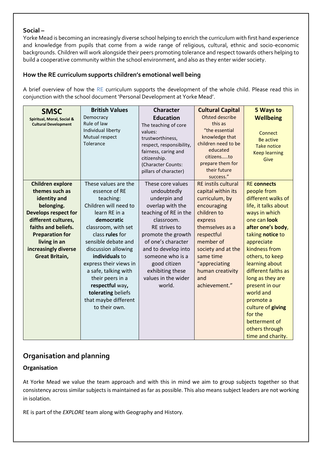#### **Social –**

Yorke Mead is becoming an increasingly diverse school helping to enrich the curriculum with first hand experience and knowledge from pupils that come from a wide range of religious, cultural, ethnic and socio-economic backgrounds. Children will work alongside their peers promoting tolerance and respect towards others helping to build a cooperative community within the school environment, and also as they enter wider society.

## **How the RE curriculum supports children's emotional well being**

A brief overview of how the RE curriculum supports the development of the whole child. Please read this in conjunction with the school document 'Personal Development at Yorke Mead'.

| <b>SMSC</b>                                               | <b>British Values</b>                             | <b>Character</b>                                                                                                                               | <b>Cultural Capital</b>                                                                                                            | 5 Ways to                                                                         |
|-----------------------------------------------------------|---------------------------------------------------|------------------------------------------------------------------------------------------------------------------------------------------------|------------------------------------------------------------------------------------------------------------------------------------|-----------------------------------------------------------------------------------|
| Spiritual, Moral, Social &<br><b>Cultural Development</b> | Democracy<br>Rule of law                          | <b>Education</b><br>The teaching of core                                                                                                       | Ofsted describe<br>this as                                                                                                         | <b>Wellbeing</b>                                                                  |
|                                                           | Individual liberty<br>Mutual respect<br>Tolerance | values:<br>trustworthiness,<br>respect, responsibility,<br>fairness, caring and<br>citizenship.<br>(Character Counts:<br>pillars of character) | "the essential<br>knowledge that<br>children need to be<br>educated<br>citizensto<br>prepare them for<br>their future<br>success." | Connect<br><b>Be active</b><br><b>Take notice</b><br><b>Keep learning</b><br>Give |
| <b>Children explore</b>                                   | These values are the                              | These core values                                                                                                                              | <b>RE</b> instils cultural                                                                                                         | <b>RE</b> connects                                                                |
| themes such as                                            | essence of RE                                     | undoubtedly                                                                                                                                    | capital within its                                                                                                                 | people from                                                                       |
| identity and                                              | teaching:                                         | underpin and                                                                                                                                   | curriculum, by                                                                                                                     | different walks of                                                                |
| belonging.                                                | Children will need to                             | overlap with the                                                                                                                               | encouraging                                                                                                                        | life, it talks about                                                              |
| <b>Develops respect for</b>                               | learn RE in a                                     | teaching of RE in the                                                                                                                          | children to                                                                                                                        | ways in which                                                                     |
| different cultures,                                       | democratic                                        | classroom.                                                                                                                                     | express                                                                                                                            | one can look                                                                      |
| faiths and beliefs.                                       | classroom, with set                               | <b>RE</b> strives to                                                                                                                           | themselves as a                                                                                                                    | after one's body,                                                                 |
| <b>Preparation for</b>                                    | class rules for                                   | promote the growth                                                                                                                             | respectful                                                                                                                         | taking notice to                                                                  |
| living in an                                              | sensible debate and                               | of one's character                                                                                                                             | member of                                                                                                                          | appreciate                                                                        |
| increasingly diverse                                      | discussion allowing                               | and to develop into                                                                                                                            | society and at the                                                                                                                 | kindness from                                                                     |
| <b>Great Britain,</b>                                     | individuals to                                    | someone who is a                                                                                                                               | same time                                                                                                                          | others, to keep                                                                   |
|                                                           | express their views in                            | good citizen                                                                                                                                   | "appreciating                                                                                                                      | learning about                                                                    |
|                                                           | a safe, talking with                              | exhibiting these                                                                                                                               | human creativity                                                                                                                   | different faiths as                                                               |
|                                                           | their peers in a                                  | values in the wider                                                                                                                            | and                                                                                                                                | long as they are                                                                  |
|                                                           | respectful way,                                   | world.                                                                                                                                         | achievement."                                                                                                                      | present in our                                                                    |
|                                                           | tolerating beliefs                                |                                                                                                                                                |                                                                                                                                    | world and                                                                         |
|                                                           | that maybe different                              |                                                                                                                                                |                                                                                                                                    | promote a                                                                         |
|                                                           | to their own.                                     |                                                                                                                                                |                                                                                                                                    | culture of giving                                                                 |
|                                                           |                                                   |                                                                                                                                                |                                                                                                                                    | for the                                                                           |
|                                                           |                                                   |                                                                                                                                                |                                                                                                                                    | betterment of                                                                     |
|                                                           |                                                   |                                                                                                                                                |                                                                                                                                    | others through                                                                    |
|                                                           |                                                   |                                                                                                                                                |                                                                                                                                    | time and charity.                                                                 |

# **Organisation and planning**

#### **Organisation**

At Yorke Mead we value the team approach and with this in mind we aim to group subjects together so that consistency across similar subjects is maintained as far as possible. This also means subject leaders are not working in isolation.

RE is part of the *EXPLORE* team along with Geography and History*.*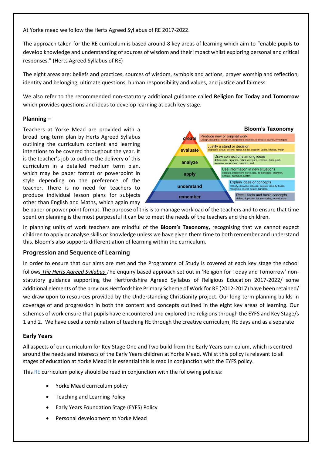At Yorke mead we follow the Herts Agreed Syllabus of RE 2017-2022.

The approach taken for the RE curriculum is based around 8 key areas of learning which aim to "enable pupils to develop knowledge and understanding of sources of wisdom and their impact whilst exploring personal and critical responses." (Herts Agreed Syllabus of RE)

The eight areas are: beliefs and practices, sources of wisdom, symbols and actions, prayer worship and reflection, identity and belonging, ultimate questions, human responsibility and values, and justice and fairness.

We also refer to the recommended non-statutory additional guidance called **Religion for Today and Tomorrow** which provides questions and ideas to develop learning at each key stage.

#### **Planning –**

Teachers at Yorke Mead are provided with a broad long term plan by Herts Agreed Syllabus outlining the curriculum content and learning intentions to be covered throughout the year. It is the teacher's job to outline the delivery of this curriculum in a detailed medium term plan, which may be paper format or powerpoint in style depending on the preference of the teacher. There is no need for teachers to produce individual lesson plans for subjects other than English and Maths, which again may



be paper or power point format. The purpose of this is to manage workload of the teachers and to ensure that time spent on planning is the most purposeful it can be to meet the needs of the teachers and the children.

In planning units of work teachers are mindful of the **Bloom's Taxonomy,** recognising that we cannot expect children to apply or analyse skills or knowledge unless we have given them time to both remember and understand this. Bloom's also supports differentiation of learning within the curriculum.

#### **Progression and Sequence of Learning**

In order to ensure that our aims are met and the Programme of Study is covered at each key stage the school follows *The Herts Agreed Syllabus T*he enquiry based approach set out in 'Religion for Today and Tomorrow' nonstatutory guidance supporting the Hertfordshire Agreed Syllabus of Religious Education 2017-2022/ some additional elements of the previous Hertfordshire Primary Scheme of Work for RE (2012-2017) have been retained/ we draw upon to resources provided by the Understanding Christianity project. Our long-term planning builds-in coverage of and progression in both the content and concepts outlined in the eight key areas of learning. Our schemes of work ensure that pupils have encountered and explored the religions through the EYFS and Key Stage/s 1 and 2. We have used a combination of teaching RE through the creative curriculum, RE days and as a separate

#### **Early Years**

All aspects of our curriculum for Key Stage One and Two build from the Early Years curriculum, which is centred around the needs and interests of the Early Years children at Yorke Mead. Whilst this policy is relevant to all stages of education at Yorke Mead it is essential this is read in conjunction with the EYFS policy.

This RE curriculum policy should be read in conjunction with the following policies:

- Yorke Mead curriculum policy
- Teaching and Learning Policy
- Early Years Foundation Stage (EYFS) Policy
- Personal development at Yorke Mead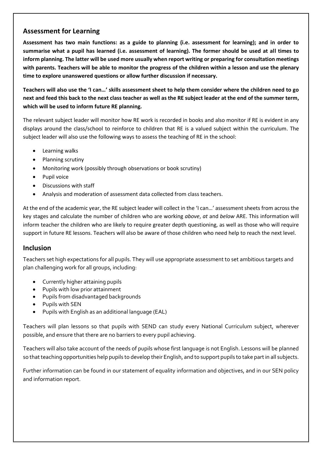## **Assessment for Learning**

**Assessment has two main functions: as a guide to planning (i.e. assessment for learning); and in order to summarise what a pupil has learned (i.e. assessment of learning). The former should be used at all times to inform planning. The latter will be used more usually when report writing or preparing for consultation meetings with parents. Teachers will be able to monitor the progress of the children within a lesson and use the plenary time to explore unanswered questions or allow further discussion if necessary.** 

**Teachers will also use the 'I can…' skills assessment sheet to help them consider where the children need to go next and feed this back to the next class teacher as well as the RE subject leader at the end of the summer term, which will be used to inform future RE planning.** 

The relevant subject leader will monitor how RE work is recorded in books and also monitor if RE is evident in any displays around the class/school to reinforce to children that RE is a valued subject within the curriculum. The subject leader will also use the following ways to assess the teaching of RE in the school:

- Learning walks
- Planning scrutiny
- Monitoring work (possibly through observations or book scrutiny)
- Pupil voice
- Discussions with staff
- Analysis and moderation of assessment data collected from class teachers.

At the end of the academic year, the RE subject leader will collect in the 'I can…' assessment sheets from across the key stages and calculate the number of children who are working *above*, *at* and *below* ARE. This information will inform teacher the children who are likely to require greater depth questioning, as well as those who will require support in future RE lessons. Teachers will also be aware of those children who need help to reach the next level.

## **Inclusion**

Teachers set high expectations for all pupils. They will use appropriate assessment to set ambitious targets and plan challenging work for all groups, including:

- Currently higher attaining pupils
- Pupils with low prior attainment
- Pupils from disadvantaged backgrounds
- Pupils with SEN
- Pupils with English as an additional language (EAL)

Teachers will plan lessons so that pupils with SEND can study every National Curriculum subject, wherever possible, and ensure that there are no barriers to every pupil achieving.

Teachers will also take account of the needs of pupils whose first language is not English. Lessons will be planned so that teaching opportunities help pupils to develop their English, and to support pupils to take part in all subjects.

Further information can be found in our statement of equality information and objectives, and in our SEN policy and information report.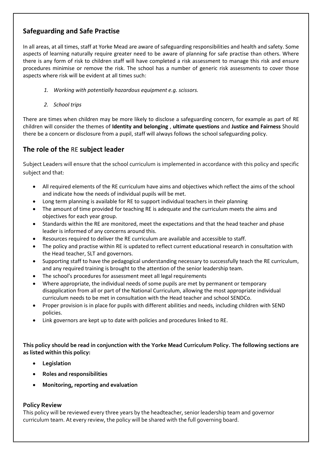# **Safeguarding and Safe Practise**

In all areas, at all times, staff at Yorke Mead are aware of safeguarding responsibilities and health and safety. Some aspects of learning naturally require greater need to be aware of planning for safe practise than others. Where there is any form of risk to children staff will have completed a risk assessment to manage this risk and ensure procedures minimise or remove the risk. The school has a number of generic risk assessments to cover those aspects where risk will be evident at all times such:

- *1. Working with potentially hazardous equipment e.g. scissors.*
- *2. School trips*

There are times when children may be more likely to disclose a safeguarding concern, for example as part of RE children will consider the themes of **Identity and belonging** , **ultimate questions** and **Justice and Fairness** Should there be a concern or disclosure from a pupil, staff will always follows the school safeguarding policy.

# **The role of the** RE **subject leader**

Subject Leaders will ensure that the school curriculum is implemented in accordance with this policy and specific subject and that:

- All required elements of the RE curriculum have aims and objectives which reflect the aims of the school and indicate how the needs of individual pupils will be met.
- Long term planning is available for RE to support individual teachers in their planning
- The amount of time provided for teaching RE is adequate and the curriculum meets the aims and objectives for each year group.
- Standards within the RE are monitored, meet the expectations and that the head teacher and phase leader is informed of any concerns around this.
- Resources required to deliver the RE curriculum are available and accessible to staff.
- The policy and practise within RE is updated to reflect current educational research in consultation with the Head teacher, SLT and governors.
- Supporting staff to have the pedagogical understanding necessary to successfully teach the RE curriculum, and any required training is brought to the attention of the senior leadership team.
- The school's procedures for assessment meet all legal requirements
- Where appropriate, the individual needs of some pupils are met by permanent or temporary disapplication from all or part of the National Curriculum, allowing the most appropriate individual curriculum needs to be met in consultation with the Head teacher and school SENDCo.
- Proper provision is in place for pupils with different abilities and needs, including children with SEND policies.
- Link governors are kept up to date with policies and procedures linked to RE.

**This policy should be read in conjunction with the Yorke Mead Curriculum Policy. The following sections are as listed within this policy:** 

- **Legislation**
- **Roles and responsibilities**
- **Monitoring, reporting and evaluation**

#### **Policy Review**

This policy will be reviewed every three years by the headteacher, senior leadership team and governor curriculum team. At every review, the policy will be shared with the full governing board.